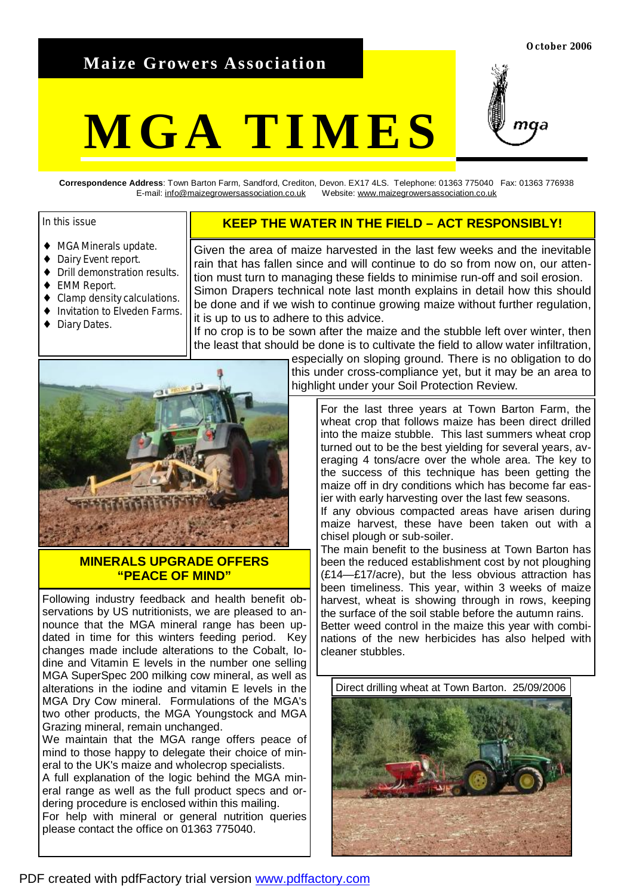# **Maize Growers Association**

# **MGA TIMES**



**Correspondence Address**: Town Barton Farm, Sandford, Crediton, Devon. EX17 4LS. Telephone: 01363 775040 Fax: 01363 776938 E-mail: [info@maizegrowersassociation.co.uk](mailto:info@maizegrowersassociation.co.uk) Website: [www.maizegrowersassociation.co.uk](http://www.maizegrowersassociation.co.uk)

## In this issue

- ♦ MGA Minerals update.
- ♦ Dairy Event report.
- ♦ Drill demonstration results.
- ♦ EMM Report.
- Clamp density calculations.
- Invitation to Elveden Farms.
- ♦ Diary Dates.

# **KEEP THE WATER IN THE FIELD – ACT RESPONSIBLY!**

Given the area of maize harvested in the last few weeks and the inevitable rain that has fallen since and will continue to do so from now on, our attention must turn to managing these fields to minimise run-off and soil erosion. Simon Drapers technical note last month explains in detail how this should be done and if we wish to continue growing maize without further regulation, it is up to us to adhere to this advice.

If no crop is to be sown after the maize and the stubble left over winter, then the least that should be done is to cultivate the field to allow water infiltration,



# **MINERALS UPGRADE OFFERS "PEACE OF MIND"**

Following industry feedback and health benefit observations by US nutritionists, we are pleased to announce that the MGA mineral range has been updated in time for this winters feeding period. Key changes made include alterations to the Cobalt, Iodine and Vitamin E levels in the number one selling MGA SuperSpec 200 milking cow mineral, as well as alterations in the iodine and vitamin E levels in the MGA Dry Cow mineral. Formulations of the MGA's two other products, the MGA Youngstock and MGA Grazing mineral, remain unchanged.

We maintain that the MGA range offers peace of mind to those happy to delegate their choice of mineral to the UK's maize and wholecrop specialists.

A full explanation of the logic behind the MGA mineral range as well as the full product specs and ordering procedure is enclosed within this mailing. For help with mineral or general nutrition queries please contact the office on 01363 775040.

especially on sloping ground. There is no obligation to do this under cross-compliance yet, but it may be an area to highlight under your Soil Protection Review.

For the last three years at Town Barton Farm, the wheat crop that follows maize has been direct drilled into the maize stubble. This last summers wheat crop turned out to be the best yielding for several years, averaging 4 tons/acre over the whole area. The key to the success of this technique has been getting the maize off in dry conditions which has become far easier with early harvesting over the last few seasons.

If any obvious compacted areas have arisen during maize harvest, these have been taken out with a chisel plough or sub-soiler.

The main benefit to the business at Town Barton has been the reduced establishment cost by not ploughing (£14—£17/acre), but the less obvious attraction has been timeliness. This year, within 3 weeks of maize harvest, wheat is showing through in rows, keeping the surface of the soil stable before the autumn rains. Better weed control in the maize this year with combinations of the new herbicides has also helped with cleaner stubbles.